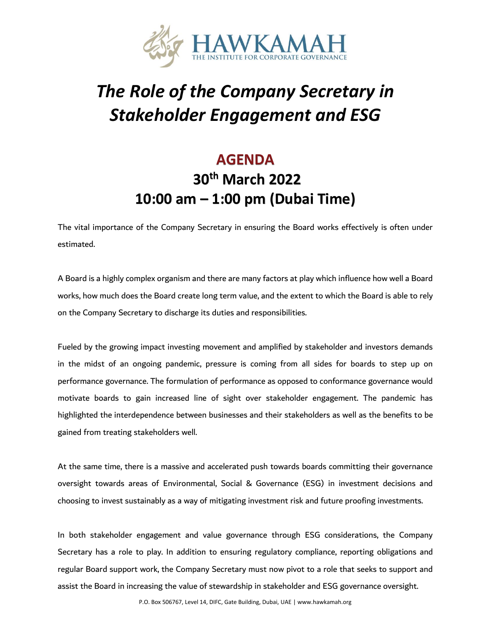

# *The Role of the Company Secretary in Stakeholder Engagement and ESG*

## **AGENDA 30th March 2022 10:00 am – 1:00 pm (Dubai Time)**

The vital importance of the Company Secretary in ensuring the Board works effectively is often under estimated.

A Board is a highly complex organism and there are many factors at play which influence how well a Board works, how much does the Board create long term value, and the extent to which the Board is able to rely on the Company Secretary to discharge its duties and responsibilities.

Fueled by the growing impact investing movement and amplified by stakeholder and investors demands in the midst of an ongoing pandemic, pressure is coming from all sides for boards to step up on performance governance. The formulation of performance as opposed to conformance governance would motivate boards to gain increased line of sight over stakeholder engagement. The pandemic has highlighted the interdependence between businesses and their stakeholders as well as the benefits to be gained from treating stakeholders well.

At the same time, there is a massive and accelerated push towards boards committing their governance oversight towards areas of Environmental, Social & Governance (ESG) in investment decisions and choosing to invest sustainably as a way of mitigating investment risk and future proofing investments.

In both stakeholder engagement and value governance through ESG considerations, the Company Secretary has a role to play. In addition to ensuring regulatory compliance, reporting obligations and regular Board support work, the Company Secretary must now pivot to a role that seeks to support and assist the Board in increasing the value of stewardship in stakeholder and ESG governance oversight.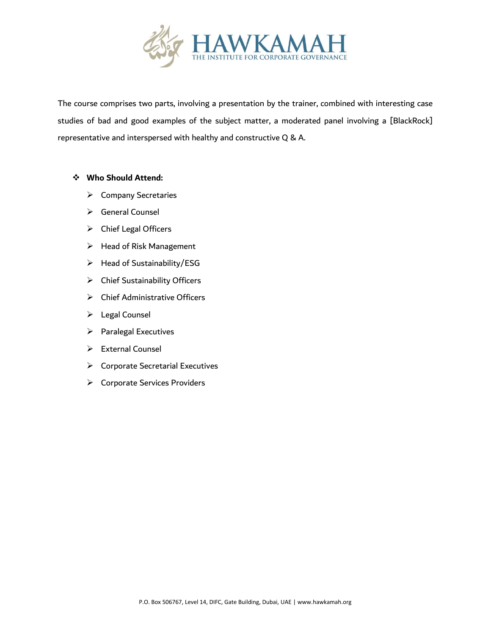

The course comprises two parts, involving a presentation by the trainer, combined with interesting case studies of bad and good examples of the subject matter, a moderated panel involving a [BlackRock] representative and interspersed with healthy and constructive Q & A.

#### ❖ **Who Should Attend:**

- ➢ Company Secretaries
- ➢ General Counsel
- ➢ Chief Legal Officers
- ➢ Head of Risk Management
- $\triangleright$  Head of Sustainability/ESG
- ➢ Chief Sustainability Officers
- ➢ Chief Administrative Officers
- ➢ Legal Counsel
- ➢ Paralegal Executives
- ➢ External Counsel
- ➢ Corporate Secretarial Executives
- ➢ Corporate Services Providers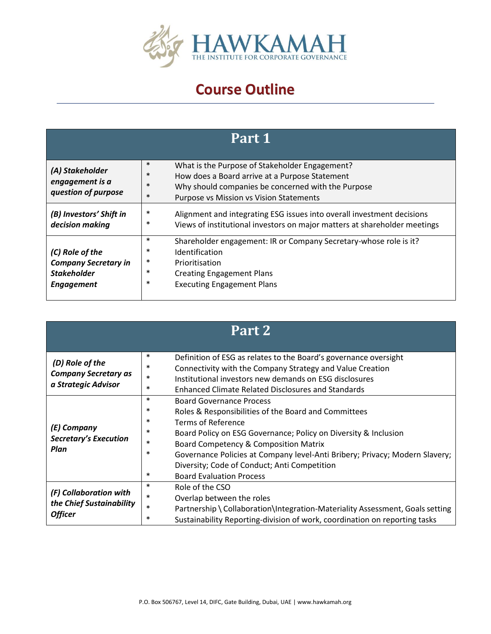

### **Course Outline**

| Part 1                                                                                    |                                                                                                                                                                                                                                           |  |  |
|-------------------------------------------------------------------------------------------|-------------------------------------------------------------------------------------------------------------------------------------------------------------------------------------------------------------------------------------------|--|--|
| (A) Stakeholder<br>engagement is a<br>question of purpose                                 | $\ast$<br>What is the Purpose of Stakeholder Engagement?<br>$\ast$<br>How does a Board arrive at a Purpose Statement<br>$\ast$<br>Why should companies be concerned with the Purpose<br>$\ast$<br>Purpose vs Mission vs Vision Statements |  |  |
| (B) Investors' Shift in<br>decision making                                                | $\ast$<br>Alignment and integrating ESG issues into overall investment decisions<br>$\ast$<br>Views of institutional investors on major matters at shareholder meetings                                                                   |  |  |
| (C) Role of the<br><b>Company Secretary in</b><br><b>Stakeholder</b><br><b>Engagement</b> | $\ast$<br>Shareholder engagement: IR or Company Secretary-whose role is it?<br>∗<br>Identification<br>∗<br>Prioritisation<br>$\ast$<br><b>Creating Engagement Plans</b><br>∗<br><b>Executing Engagement Plans</b>                         |  |  |

| Part 2                                                                |                                                               |                                                                                                                                                                                                                                                                                                                                                                                                               |  |
|-----------------------------------------------------------------------|---------------------------------------------------------------|---------------------------------------------------------------------------------------------------------------------------------------------------------------------------------------------------------------------------------------------------------------------------------------------------------------------------------------------------------------------------------------------------------------|--|
| (D) Role of the<br><b>Company Secretary as</b><br>a Strategic Advisor | $\ast$<br>$\ast$<br>$\ast$<br>$\ast$                          | Definition of ESG as relates to the Board's governance oversight<br>Connectivity with the Company Strategy and Value Creation<br>Institutional investors new demands on ESG disclosures<br><b>Enhanced Climate Related Disclosures and Standards</b>                                                                                                                                                          |  |
| (E) Company<br><b>Secretary's Execution</b><br>Plan                   | $\ast$<br>$\ast$<br>∗<br>$\ast$<br>$\ast$<br>$\ast$<br>$\ast$ | <b>Board Governance Process</b><br>Roles & Responsibilities of the Board and Committees<br><b>Terms of Reference</b><br>Board Policy on ESG Governance; Policy on Diversity & Inclusion<br><b>Board Competency &amp; Composition Matrix</b><br>Governance Policies at Company level-Anti Bribery; Privacy; Modern Slavery;<br>Diversity; Code of Conduct; Anti Competition<br><b>Board Evaluation Process</b> |  |
| (F) Collaboration with<br>the Chief Sustainability<br><b>Officer</b>  | $\ast$<br>$\ast$<br>$\ast$<br>$\ast$                          | Role of the CSO<br>Overlap between the roles<br>Partnership \ Collaboration\Integration-Materiality Assessment, Goals setting<br>Sustainability Reporting-division of work, coordination on reporting tasks                                                                                                                                                                                                   |  |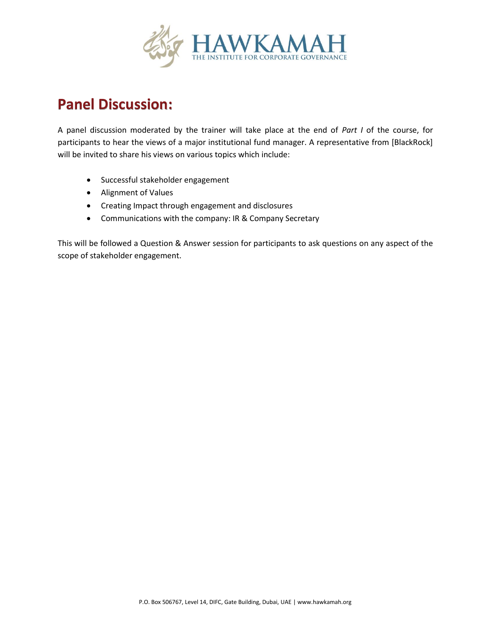

#### **Panel Discussion:**

A panel discussion moderated by the trainer will take place at the end of *Part I* of the course, for participants to hear the views of a major institutional fund manager. A representative from [BlackRock] will be invited to share his views on various topics which include:

- Successful stakeholder engagement
- Alignment of Values
- Creating Impact through engagement and disclosures
- Communications with the company: IR & Company Secretary

This will be followed a Question & Answer session for participants to ask questions on any aspect of the scope of stakeholder engagement.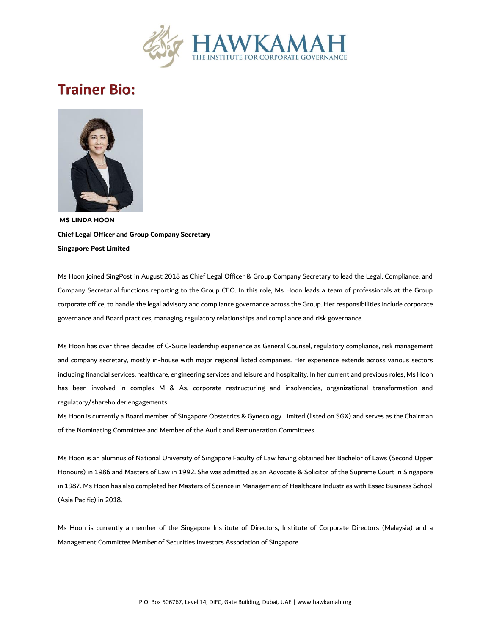

#### **Trainer Bio:**



**MS LINDA HOON Chief Legal Officer and Group Company Secretary Singapore Post Limited** 

Ms Hoon joined SingPost in August 2018 as Chief Legal Officer & Group Company Secretary to lead the Legal, Compliance, and Company Secretarial functions reporting to the Group CEO. In this role, Ms Hoon leads a team of professionals at the Group corporate office, to handle the legal advisory and compliance governance across the Group. Her responsibilities include corporate governance and Board practices, managing regulatory relationships and compliance and risk governance.

Ms Hoon has over three decades of C-Suite leadership experience as General Counsel, regulatory compliance, risk management and company secretary, mostly in-house with major regional listed companies. Her experience extends across various sectors including financial services, healthcare, engineering services and leisure and hospitality. In her current and previous roles, Ms Hoon has been involved in complex M & As, corporate restructuring and insolvencies, organizational transformation and regulatory/shareholder engagements.

Ms Hoon is currently a Board member of Singapore Obstetrics & Gynecology Limited (listed on SGX) and serves as the Chairman of the Nominating Committee and Member of the Audit and Remuneration Committees.

Ms Hoon is an alumnus of National University of Singapore Faculty of Law having obtained her Bachelor of Laws (Second Upper Honours) in 1986 and Masters of Law in 1992. She was admitted as an Advocate & Solicitor of the Supreme Court in Singapore in 1987. Ms Hoon has also completed her Masters of Science in Management of Healthcare Industries with Essec Business School (Asia Pacific) in 2018.

Ms Hoon is currently a member of the Singapore Institute of Directors, Institute of Corporate Directors (Malaysia) and a Management Committee Member of Securities Investors Association of Singapore.